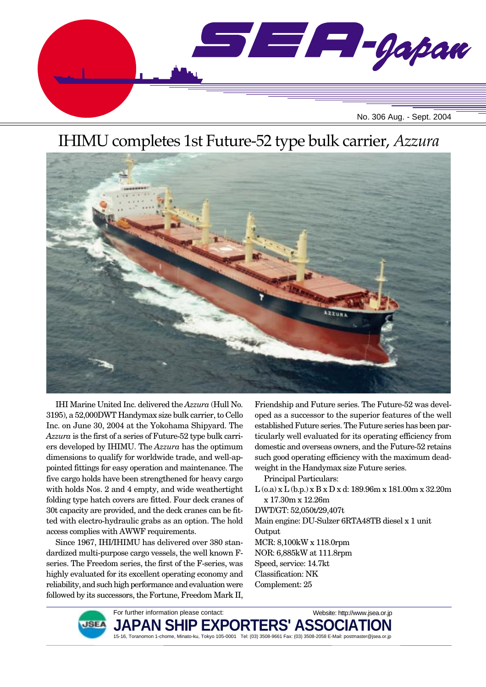

# IHIMU completes 1st Future-52 type bulk carrier, *Azzura*



IHI Marine United Inc. delivered the *Azzura* (Hull No. 3195), a 52,000DWT Handymax size bulk carrier, to Cello Inc. on June 30, 2004 at the Yokohama Shipyard. The *Azzura* is the first of a series of Future-52 type bulk carriers developed by IHIMU. The *Azzura* has the optimum dimensions to qualify for worldwide trade, and well-appointed fittings for easy operation and maintenance. The five cargo holds have been strengthened for heavy cargo with holds Nos. 2 and 4 empty, and wide weathertight folding type hatch covers are fitted. Four deck cranes of 30t capacity are provided, and the deck cranes can be fitted with electro-hydraulic grabs as an option. The hold access complies with AWWF requirements.

Since 1967, IHI/IHIMU has delivered over 380 standardized multi-purpose cargo vessels, the well known Fseries. The Freedom series, the first of the F-series, was highly evaluated for its excellent operating economy and reliability, and such high performance and evaluation were followed by its successors, the Fortune, Freedom Mark II,

Friendship and Future series. The Future-52 was developed as a successor to the superior features of the well established Future series. The Future series has been particularly well evaluated for its operating efficiency from domestic and overseas owners, and the Future-52 retains such good operating efficiency with the maximum deadweight in the Handymax size Future series.

Principal Particulars:

L (o.a) x L (b.p.) x B x D x d: 189.96m x 181.00m x 32.20m x 17.30m x 12.26m

DWT/GT: 52,050t/29,407t

Main engine: DU-Sulzer 6RTA48TB diesel x 1 unit Output MCR: 8,100kW x 118.0rpm NOR: 6,885kW at 111.8rpm

Speed, service: 14.7kt

Classification: NK Complement: 25



For further information please contact: **JAPAN SHIP EXPORTERS' ASSO** 15-16, Toranomon 1-chome, Minato-ku, Tokyo 105-0001 Tel: (03) 3508-9661 Fax: (03) 3508-2058 E-Mail: postmaster@jsea.or.jp Website: http://www.jsea.or.jp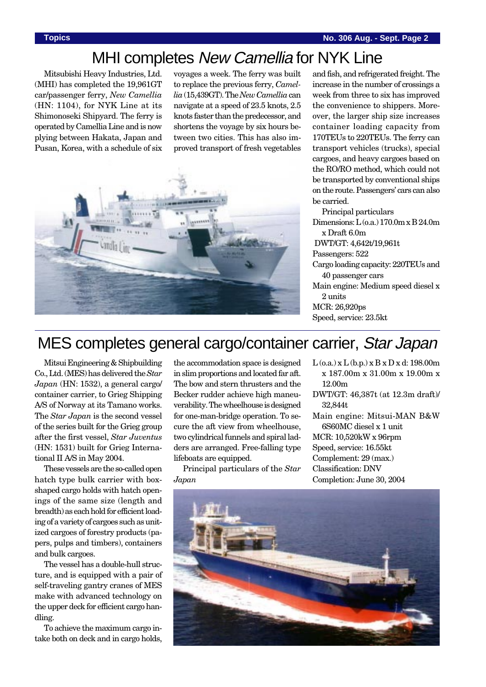# MHI completes New Camellia for NYK Line

Mitsubishi Heavy Industries, Ltd. (MHI) has completed the 19,961GT car/passenger ferry, *New Camellia* (HN: 1104), for NYK Line at its Shimonoseki Shipyard. The ferry is operated by Camellia Line and is now plying between Hakata, Japan and Pusan, Korea, with a schedule of six voyages a week. The ferry was built to replace the previous ferry, *Camellia* (15,439GT). The *New Camellia* can navigate at a speed of 23.5 knots, 2.5 knots faster than the predecessor, and shortens the voyage by six hours between two cities. This has also improved transport of fresh vegetables



and fish, and refrigerated freight. The increase in the number of crossings a week from three to six has improved the convenience to shippers. Moreover, the larger ship size increases container loading capacity from 170TEUs to 220TEUs. The ferry can transport vehicles (trucks), special cargoes, and heavy cargoes based on the RO/RO method, which could not be transported by conventional ships on the route. Passengers' cars can also be carried.

Principal particulars Dimensions: L (o.a.) 170.0m x B 24.0m x Draft 6.0m DWT/GT: 4,642t/19,961t Passengers: 522 Cargo loading capacity: 220TEUs and 40 passenger cars Main engine: Medium speed diesel x 2 units MCR: 26,920ps Speed, service: 23.5kt

# MES completes general cargo/container carrier, Star Japan

Mitsui Engineering & Shipbuilding Co., Ltd. (MES) has delivered the *Star Japan* (HN: 1532), a general cargo/ container carrier, to Grieg Shipping A/S of Norway at its Tamano works. The *Star Japan* is the second vessel of the series built for the Grieg group after the first vessel, *Star Juventus* (HN: 1531) built for Grieg International II A/S in May 2004.

These vessels are the so-called open hatch type bulk carrier with boxshaped cargo holds with hatch openings of the same size (length and breadth) as each hold for efficient loading of a variety of cargoes such as unitized cargoes of forestry products (papers, pulps and timbers), containers and bulk cargoes.

The vessel has a double-hull structure, and is equipped with a pair of self-traveling gantry cranes of MES make with advanced technology on the upper deck for efficient cargo handling.

To achieve the maximum cargo intake both on deck and in cargo holds, the accommodation space is designed in slim proportions and located far aft. The bow and stern thrusters and the Becker rudder achieve high maneuverability. The wheelhouse is designed for one-man-bridge operation. To secure the aft view from wheelhouse, two cylindrical funnels and spiral ladders are arranged. Free-falling type lifeboats are equipped.

Principal particulars of the *Star Japan*

- L (o.a.) x L (b.p.) x B x D x d: 198.00m x 187.00m x 31.00m x 19.00m x 12.00m
- DWT/GT: 46,387t (at 12.3m draft)/ 32,844t
- Main engine: Mitsui-MAN B&W 6S60MC diesel x 1 unit MCR: 10,520kW x 96rpm Speed, service: 16.55kt Complement: 29 (max.) Classification: DNV Completion: June 30, 2004

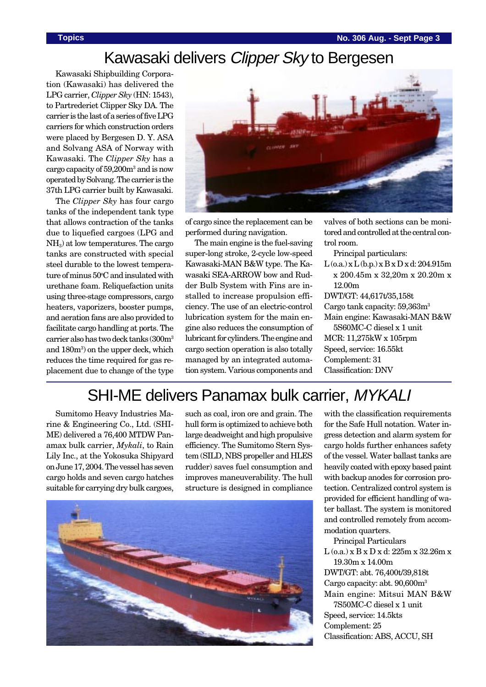# Kawasaki delivers Clipper Sky to Bergesen

Kawasaki Shipbuilding Corporation (Kawasaki) has delivered the LPG carrier, *Clipper Sky* (HN: 1543), to Partrederiet Clipper Sky DA. The carrier is the last of a series of five LPG carriers for which construction orders were placed by Bergesen D. Y. ASA and Solvang ASA of Norway with Kawasaki. The *Clipper Sky* has a cargo capacity of 59,200m3 and is now operated by Solvang. The carrier is the 37th LPG carrier built by Kawasaki.

The *Clipper Sky* has four cargo tanks of the independent tank type that allows contraction of the tanks due to liquefied cargoes (LPG and  $NH<sub>3</sub>$ ) at low temperatures. The cargo tanks are constructed with special steel durable to the lowest temperature of minus 50°C and insulated with urethane foam. Reliquefaction units using three-stage compressors, cargo heaters, vaporizers, booster pumps, and aeration fans are also provided to facilitate cargo handling at ports. The carrier also has two deck tanks (300m<sup>3</sup> and 180m<sup>3</sup>) on the upper deck, which reduces the time required for gas replacement due to change of the type



of cargo since the replacement can be performed during navigation.

The main engine is the fuel-saving super-long stroke, 2-cycle low-speed Kawasaki-MAN B&W type. The Kawasaki SEA-ARROW bow and Rudder Bulb System with Fins are installed to increase propulsion efficiency. The use of an electric-control lubrication system for the main engine also reduces the consumption of lubricant for cylinders. The engine and cargo section operation is also totally managed by an integrated automation system. Various components and

valves of both sections can be monitored and controlled at the central control room.

Principal particulars:

 $L$ (o.a.) x  $L$ (b.p.) x  $B$  x  $D$  x d: 204.915m x 200.45m x 32,20m x 20.20m x 12.00m

DWT/GT: 44,617t/35,158t Cargo tank capacity: 59,363m3 Main engine: Kawasaki-MAN B&W 5S60MC-C diesel x 1 unit MCR: 11,275kW x 105rpm Speed, service: 16.55kt Complement: 31 Classification: DNV

# SHI-ME delivers Panamax bulk carrier, MYKALI

Sumitomo Heavy Industries Marine & Engineering Co., Ltd. (SHI-ME) delivered a 76,400 MTDW Panamax bulk carrier, *Mykali*, to Rain Lily Inc., at the Yokosuka Shipyard on June 17, 2004. The vessel has seven cargo holds and seven cargo hatches suitable for carrying dry bulk cargoes,

such as coal, iron ore and grain. The hull form is optimized to achieve both large deadweight and high propulsive efficiency. The Sumitomo Stern System (SILD, NBS propeller and HLES rudder) saves fuel consumption and improves maneuverability. The hull structure is designed in compliance



with the classification requirements for the Safe Hull notation. Water ingress detection and alarm system for cargo holds further enhances safety of the vessel. Water ballast tanks are heavily coated with epoxy based paint with backup anodes for corrosion protection. Centralized control system is provided for efficient handling of water ballast. The system is monitored and controlled remotely from accommodation quarters.

Principal Particulars L (o.a.) x B x D x d: 225m x 32.26m x 19.30m x 14.00m DWT/GT: abt. 76,400t/39,818t Cargo capacity: abt. 90,600m3 Main engine: Mitsui MAN B&W 7S50MC-C diesel x 1 unit Speed, service: 14.5kts Complement: 25 Classification: ABS, ACCU, SH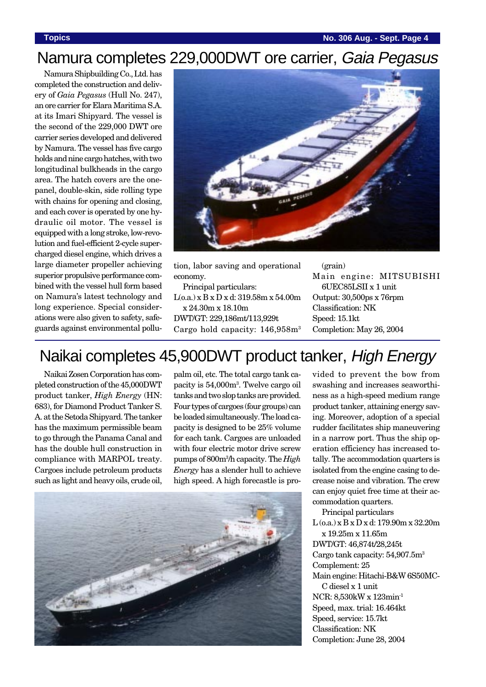### **Topics No. 306 Aug. - Sept. Page 4**

# Namura completes 229,000DWT ore carrier, Gaia Pegasus

Namura Shipbuilding Co., Ltd. has completed the construction and delivery of *Gaia Pegasus* (Hull No. 247), an ore carrier for Elara Maritima S.A. at its Imari Shipyard. The vessel is the second of the 229,000 DWT ore carrier series developed and delivered by Namura. The vessel has five cargo holds and nine cargo hatches, with two longitudinal bulkheads in the cargo area. The hatch covers are the onepanel, double-skin, side rolling type with chains for opening and closing, and each cover is operated by one hydraulic oil motor. The vessel is equipped with a long stroke, low-revolution and fuel-efficient 2-cycle supercharged diesel engine, which drives a large diameter propeller achieving superior propulsive performance combined with the vessel hull form based on Namura's latest technology and long experience. Special considerations were also given to safety, safeguards against environmental pollu-



tion, labor saving and operational economy.

Principal particulars: L(o.a.) x B x D x d: 319.58m x 54.00m x 24.30m x 18.10m DWT/GT: 229,186mt/113,929t Cargo hold capacity:  $146,958m<sup>3</sup>$ 

(grain) Main engine: MITSUBISHI 6UEC85LSII x 1 unit Output: 30,500ps x 76rpm Classification: NK Speed: 15.1kt Completion: May 26, 2004

# Naikai completes 45,900DWT product tanker, High Energy

Naikai Zosen Corporation has completed construction of the 45,000DWT product tanker, *High Energy* (HN: 683), for Diamond Product Tanker S. A. at the Setoda Shipyard. The tanker has the maximum permissible beam to go through the Panama Canal and has the double hull construction in compliance with MARPOL treaty. Cargoes include petroleum products such as light and heavy oils, crude oil,

palm oil, etc. The total cargo tank capacity is 54,000m3 . Twelve cargo oil tanks and two slop tanks are provided. Four types of cargoes (four groups) can be loaded simultaneously. The load capacity is designed to be 25% volume for each tank. Cargoes are unloaded with four electric motor drive screw pumps of 800m3 /h capacity. The *High Energy* has a slender hull to achieve high speed. A high forecastle is pro-



vided to prevent the bow from swashing and increases seaworthiness as a high-speed medium range product tanker, attaining energy saving. Moreover, adoption of a special rudder facilitates ship maneuvering in a narrow port. Thus the ship operation efficiency has increased totally. The accommodation quarters is isolated from the engine casing to decrease noise and vibration. The crew can enjoy quiet free time at their accommodation quarters.

Principal particulars L (o.a.) x B x D x d: 179.90m x 32.20m x 19.25m x 11.65m DWT/GT: 46,874t/28,245t Cargo tank capacity: 54,907.5m3 Complement: 25 Main engine: Hitachi-B&W 6S50MC-C diesel x 1 unit NCR: 8,530kW x 123min-1 Speed, max. trial: 16.464kt Speed, service: 15.7kt Classification: NK Completion: June 28, 2004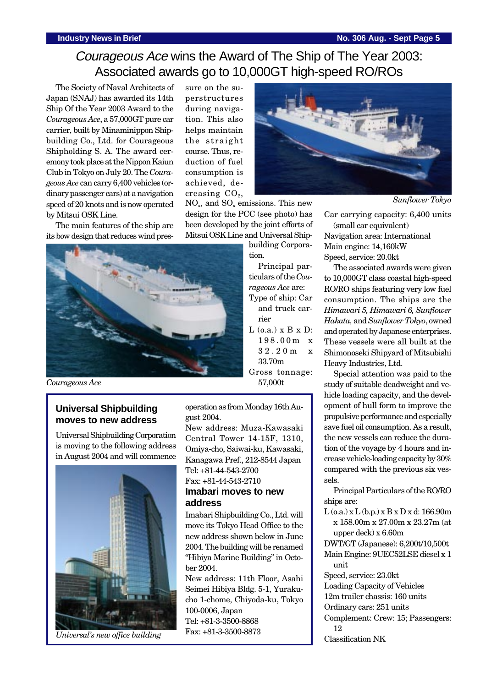## Courageous Ace wins the Award of The Ship of The Year 2003: Associated awards go to 10,000GT high-speed RO/ROs

The Society of Naval Architects of Japan (SNAJ) has awarded its 14th Ship Of the Year 2003 Award to the *Courageous Ace*, a 57,000GT pure car carrier, built by Minaminippon Shipbuilding Co., Ltd. for Courageous Shipholding S. A. The award ceremony took place at the Nippon Kaiun Club in Tokyo on July 20. The *Courageous Ace* can carry 6,400 vehicles (ordinary passenger cars) at a navigation speed of 20 knots and is now operated by Mitsui OSK Line.

The main features of the ship are its bow design that reduces wind pressure on the superstructures during navigation. This also helps maintain the straight course. Thus, reduction of fuel consumption is achieved, decreasing  $CO<sub>2</sub>$ ,

 $NO<sub>x</sub>$ , and  $SO<sub>x</sub>$  emissions. This new design for the PCC (see photo) has been developed by the joint efforts of Mitsui OSK Line and Universal Ship-



*Courageous Ace*

### **Universal Shipbuilding moves to new address**

Universal Shipbuilding Corporation is moving to the following address in August 2004 and will commence



*Universal's new office building*

building Corporation. Principal particulars of the *Courageous Ace* are: Type of ship: Car

and truck carrier  $L$  (o.a.)  $x B x D$ : 198.00m x 32.20m x 33.70m

Gross tonnage: 57,000t

operation as from Monday 16th August 2004.

New address: Muza-Kawasaki Central Tower 14-15F, 1310, Omiya-cho, Saiwai-ku, Kawasaki, Kanagawa Pref., 212-8544 Japan Tel: +81-44-543-2700

Fax: +81-44-543-2710 **Imabari moves to new**

### **address**

Imabari Shipbuilding Co., Ltd. will move its Tokyo Head Office to the new address shown below in June 2004. The building will be renamed "Hibiya Marine Building" in October 2004.

New address: 11th Floor, Asahi Seimei Hibiya Bldg. 5-1, Yurakucho 1-chome, Chiyoda-ku, Tokyo 100-0006, Japan Tel: +81-3-3500-8868 Fax: +81-3-3500-8873



*Sunflower Tokyo*

Car carrying capacity: 6,400 units (small car equivalent) Navigation area: International Main engine: 14,160kW Speed, service: 20.0kt

The associated awards were given to 10,000GT class coastal high-speed RO/RO ships featuring very low fuel consumption. The ships are the *Himawari 5, Himawari 6, Sunflower Hakata,* and *Sunflower Tokyo*, owned and operated by Japanese enterprises. These vessels were all built at the Shimonoseki Shipyard of Mitsubishi Heavy Industries, Ltd.

Special attention was paid to the study of suitable deadweight and vehicle loading capacity, and the development of hull form to improve the propulsive performance and especially save fuel oil consumption. As a result, the new vessels can reduce the duration of the voyage by 4 hours and increase vehicle-loading capacity by 30% compared with the previous six vessels.

Principal Particulars of the RO/RO ships are:

 $L$  (o.a.) x  $L$  (b.p.) x  $B$  x  $D$  x d: 166.90m x 158.00m x 27.00m x 23.27m (at upper deck) x 6.60m

DWT/GT (Japanese): 6,200t/10,500t Main Engine: 9UEC52LSE diesel x 1 unit

Speed, service: 23.0kt

Loading Capacity of Vehicles

12m trailer chassis: 160 units

Ordinary cars: 251 units

Complement: Crew: 15; Passengers: 12

Classification NK